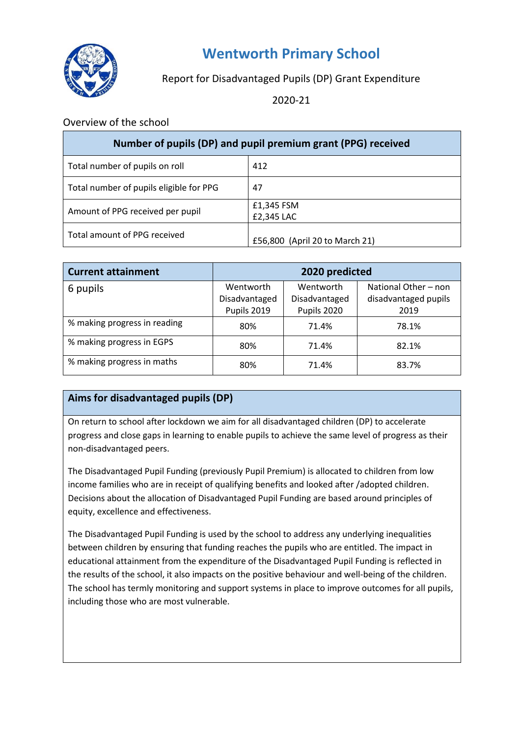

# **Wentworth Primary School**

## Report for Disadvantaged Pupils (DP) Grant Expenditure

2020-21

#### Overview of the school

| Number of pupils (DP) and pupil premium grant (PPG) received |                                |  |  |
|--------------------------------------------------------------|--------------------------------|--|--|
| Total number of pupils on roll                               | 412                            |  |  |
| Total number of pupils eligible for PPG                      | 47                             |  |  |
| Amount of PPG received per pupil                             | £1,345 FSM<br>£2,345 LAC       |  |  |
| Total amount of PPG received                                 | £56,800 (April 20 to March 21) |  |  |

| <b>Current attainment</b>    | 2020 predicted |               |                      |
|------------------------------|----------------|---------------|----------------------|
| 6 pupils                     | Wentworth      | Wentworth     | National Other - non |
|                              | Disadvantaged  | Disadvantaged | disadvantaged pupils |
|                              | Pupils 2019    | Pupils 2020   | 2019                 |
| % making progress in reading | 80%            | 71.4%         | 78.1%                |
| % making progress in EGPS    | 80%            | 71.4%         | 82.1%                |
| % making progress in maths   | 80%            | 71.4%         | 83.7%                |

### **Aims for disadvantaged pupils (DP)**

On return to school after lockdown we aim for all disadvantaged children (DP) to accelerate progress and close gaps in learning to enable pupils to achieve the same level of progress as their non-disadvantaged peers.

The Disadvantaged Pupil Funding (previously Pupil Premium) is allocated to children from low income families who are in receipt of qualifying benefits and looked after /adopted children. Decisions about the allocation of Disadvantaged Pupil Funding are based around principles of equity, excellence and effectiveness.

The Disadvantaged Pupil Funding is used by the school to address any underlying inequalities between children by ensuring that funding reaches the pupils who are entitled. The impact in educational attainment from the expenditure of the Disadvantaged Pupil Funding is reflected in the results of the school, it also impacts on the positive behaviour and well-being of the children. The school has termly monitoring and support systems in place to improve outcomes for all pupils, including those who are most vulnerable.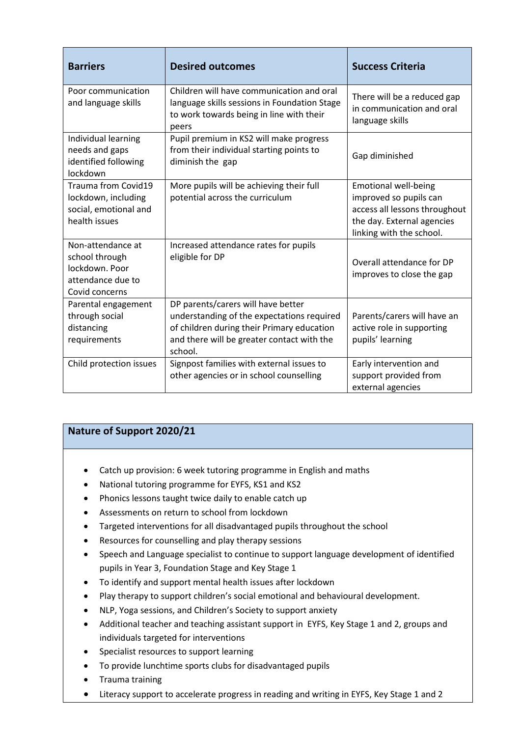| <b>Barriers</b>                                                                              | <b>Desired outcomes</b>                                                                                                                                                                 | <b>Success Criteria</b>                                                                                                                          |
|----------------------------------------------------------------------------------------------|-----------------------------------------------------------------------------------------------------------------------------------------------------------------------------------------|--------------------------------------------------------------------------------------------------------------------------------------------------|
| Poor communication<br>and language skills                                                    | Children will have communication and oral<br>language skills sessions in Foundation Stage<br>to work towards being in line with their<br>peers                                          | There will be a reduced gap<br>in communication and oral<br>language skills                                                                      |
| Individual learning<br>needs and gaps<br>identified following<br>lockdown                    | Pupil premium in KS2 will make progress<br>from their individual starting points to<br>diminish the gap                                                                                 | Gap diminished                                                                                                                                   |
| Trauma from Covid19<br>lockdown, including<br>social, emotional and<br>health issues         | More pupils will be achieving their full<br>potential across the curriculum                                                                                                             | <b>Emotional well-being</b><br>improved so pupils can<br>access all lessons throughout<br>the day. External agencies<br>linking with the school. |
| Non-attendance at<br>school through<br>lockdown. Poor<br>attendance due to<br>Covid concerns | Increased attendance rates for pupils<br>eligible for DP                                                                                                                                | Overall attendance for DP<br>improves to close the gap                                                                                           |
| Parental engagement<br>through social<br>distancing<br>requirements                          | DP parents/carers will have better<br>understanding of the expectations required<br>of children during their Primary education<br>and there will be greater contact with the<br>school. | Parents/carers will have an<br>active role in supporting<br>pupils' learning                                                                     |
| Child protection issues                                                                      | Signpost families with external issues to<br>other agencies or in school counselling                                                                                                    | Early intervention and<br>support provided from<br>external agencies                                                                             |

### **Nature of Support 2020/21**

- Catch up provision: 6 week tutoring programme in English and maths
- National tutoring programme for EYFS, KS1 and KS2
- Phonics lessons taught twice daily to enable catch up
- Assessments on return to school from lockdown
- Targeted interventions for all disadvantaged pupils throughout the school
- Resources for counselling and play therapy sessions
- Speech and Language specialist to continue to support language development of identified pupils in Year 3, Foundation Stage and Key Stage 1
- To identify and support mental health issues after lockdown
- Play therapy to support children's social emotional and behavioural development.
- NLP, Yoga sessions, and Children's Society to support anxiety
- Additional teacher and teaching assistant support in EYFS, Key Stage 1 and 2, groups and individuals targeted for interventions
- Specialist resources to support learning
- To provide lunchtime sports clubs for disadvantaged pupils
- **•** Trauma training
- Literacy support to accelerate progress in reading and writing in EYFS, Key Stage 1 and 2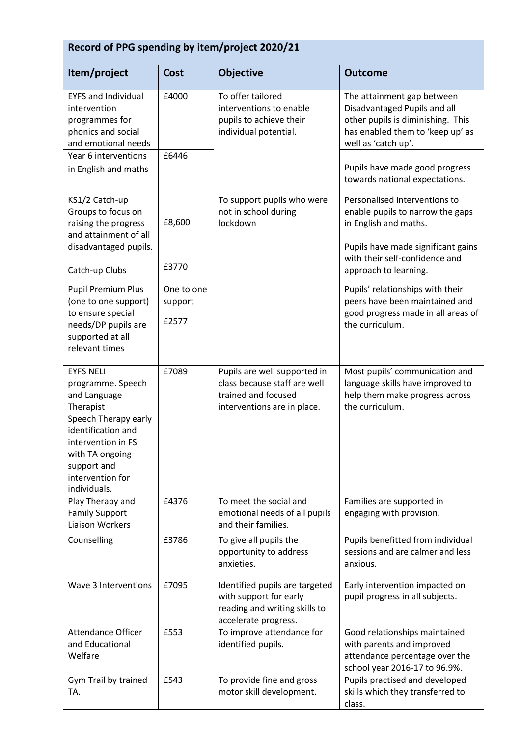| Record of PPG spending by item/project 2020/21                                                                                                                                                               |                                |                                                                                                                    |                                                                                                                                                                                              |  |
|--------------------------------------------------------------------------------------------------------------------------------------------------------------------------------------------------------------|--------------------------------|--------------------------------------------------------------------------------------------------------------------|----------------------------------------------------------------------------------------------------------------------------------------------------------------------------------------------|--|
| Item/project                                                                                                                                                                                                 | <b>Cost</b>                    | <b>Objective</b>                                                                                                   | <b>Outcome</b>                                                                                                                                                                               |  |
| <b>EYFS and Individual</b><br>intervention<br>programmes for<br>phonics and social<br>and emotional needs<br>Year 6 interventions<br>in English and maths                                                    | £4000<br>£6446                 | To offer tailored<br>interventions to enable<br>pupils to achieve their<br>individual potential.                   | The attainment gap between<br>Disadvantaged Pupils and all<br>other pupils is diminishing. This<br>has enabled them to 'keep up' as<br>well as 'catch up'.<br>Pupils have made good progress |  |
|                                                                                                                                                                                                              |                                |                                                                                                                    | towards national expectations.                                                                                                                                                               |  |
| KS1/2 Catch-up<br>Groups to focus on<br>raising the progress<br>and attainment of all<br>disadvantaged pupils.                                                                                               | £8,600                         | To support pupils who were<br>not in school during<br>lockdown                                                     | Personalised interventions to<br>enable pupils to narrow the gaps<br>in English and maths.<br>Pupils have made significant gains                                                             |  |
| Catch-up Clubs                                                                                                                                                                                               | £3770                          |                                                                                                                    | with their self-confidence and<br>approach to learning.                                                                                                                                      |  |
| <b>Pupil Premium Plus</b><br>(one to one support)<br>to ensure special<br>needs/DP pupils are<br>supported at all<br>relevant times                                                                          | One to one<br>support<br>£2577 |                                                                                                                    | Pupils' relationships with their<br>peers have been maintained and<br>good progress made in all areas of<br>the curriculum.                                                                  |  |
| <b>EYFS NELI</b><br>programme. Speech<br>and Language<br>Therapist<br>Speech Therapy early<br>identification and<br>intervention in FS<br>with TA ongoing<br>support and<br>intervention for<br>individuals. | £7089                          | Pupils are well supported in<br>class because staff are well<br>trained and focused<br>interventions are in place. | Most pupils' communication and<br>language skills have improved to<br>help them make progress across<br>the curriculum.                                                                      |  |
| Play Therapy and<br><b>Family Support</b><br><b>Liaison Workers</b>                                                                                                                                          | £4376                          | To meet the social and<br>emotional needs of all pupils<br>and their families.                                     | Families are supported in<br>engaging with provision.                                                                                                                                        |  |
| Counselling                                                                                                                                                                                                  | £3786                          | To give all pupils the<br>opportunity to address<br>anxieties.                                                     | Pupils benefitted from individual<br>sessions and are calmer and less<br>anxious.                                                                                                            |  |
| Wave 3 Interventions                                                                                                                                                                                         | £7095                          | Identified pupils are targeted<br>with support for early<br>reading and writing skills to<br>accelerate progress.  | Early intervention impacted on<br>pupil progress in all subjects.                                                                                                                            |  |
| <b>Attendance Officer</b><br>and Educational<br>Welfare                                                                                                                                                      | £553                           | To improve attendance for<br>identified pupils.                                                                    | Good relationships maintained<br>with parents and improved<br>attendance percentage over the<br>school year 2016-17 to 96.9%.                                                                |  |
| Gym Trail by trained<br>TA.                                                                                                                                                                                  | £543                           | To provide fine and gross<br>motor skill development.                                                              | Pupils practised and developed<br>skills which they transferred to<br>class.                                                                                                                 |  |